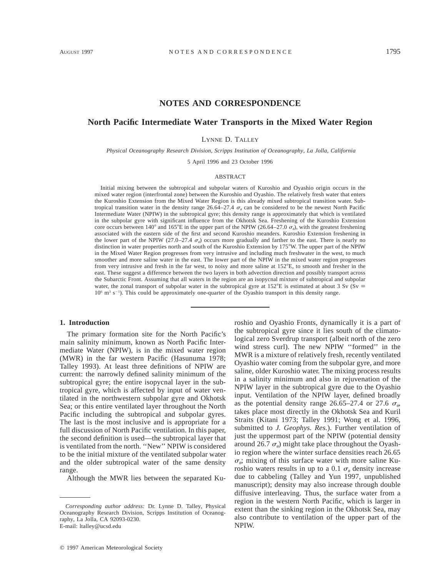## **NOTES AND CORRESPONDENCE**

# **North Pacific Intermediate Water Transports in the Mixed Water Region**

LYNNE D. TALLEY

*Physical Oceanography Research Division, Scripps Institution of Oceanography, La Jolla, California*

5 April 1996 and 23 October 1996

#### ABSTRACT

Initial mixing between the subtropical and subpolar waters of Kuroshio and Oyashio origin occurs in the mixed water region (interfrontal zone) between the Kuroshio and Oyashio. The relatively fresh water that enters the Kuroshio Extension from the Mixed Water Region is this already mixed subtropical transition water. Subtropical transition water in the density range 26.64–27.4  $\sigma_a$  can be considered to be the newest North Pacific Intermediate Water (NPIW) in the subtropical gyre; this density range is approximately that which is ventilated in the subpolar gyre with significant influence from the Okhotsk Sea. Freshening of the Kuroshio Extension core occurs between 140° and 165°E in the upper part of the NPIW (26.64–27.0  $\sigma_{\theta}$ ), with the greatest freshening associated with the eastern side of the first and second Kuroshio meanders. Kuroshio Extension freshening in the lower part of the NPIW (27.0–27.4  $\sigma_{\theta}$ ) occurs more gradually and farther to the east. There is nearly no distinction in water properties north and south of the Kuroshio Extension by 1758W. The upper part of the NPIW in the Mixed Water Region progresses from very intrusive and including much freshwater in the west, to much smoother and more saline water in the east. The lower part of the NPIW in the mixed water region progresses from very intrusive and fresh in the far west, to noisy and more saline at 152°E, to smooth and fresher in the east. These suggest a difference between the two layers in both advection direction and possibly transport across the Subarctic Front. Assuming that all waters in the region are an isopycnal mixture of subtropical and subpolar water, the zonal transport of subpolar water in the subtropical gyre at 152°E is estimated at about 3 Sv ( $\bar{S}v \equiv$  $10<sup>6</sup>$  m<sup>3</sup> s<sup>-1</sup>). This could be approximately one-quarter of the Oyashio transport in this density range.

### **1. Introduction**

The primary formation site for the North Pacific's main salinity minimum, known as North Pacific Intermediate Water (NPIW), is in the mixed water region (MWR) in the far western Pacific (Hasunuma 1978; Talley 1993). At least three definitions of NPIW are current: the narrowly defined salinity minimum of the subtropical gyre; the entire isopycnal layer in the subtropical gyre, which is affected by input of water ventilated in the northwestern subpolar gyre and Okhotsk Sea; or this entire ventilated layer throughout the North Pacific including the subtropical and subpolar gyres. The last is the most inclusive and is appropriate for a full discussion of North Pacific ventilation. In this paper, the second definition is used—the subtropical layer that is ventilated from the north. ''New'' NPIW is considered to be the initial mixture of the ventilated subpolar water and the older subtropical water of the same density range.

Although the MWR lies between the separated Ku-

 $©$  1997 American Meteorological Society

roshio and Oyashio Fronts, dynamically it is a part of the subtropical gyre since it lies south of the climatological zero Sverdrup transport (albeit north of the zero wind stress curl). The new NPIW ''formed'' in the MWR is a mixture of relatively fresh, recently ventilated Oyashio water coming from the subpolar gyre, and more saline, older Kuroshio water. The mixing process results in a salinity minimum and also in rejuvenation of the NPIW layer in the subtropical gyre due to the Oyashio input. Ventilation of the NPIW layer, defined broadly as the potential density range 26.65–27.4 or 27.6  $\sigma_{\theta}$ , takes place most directly in the Okhotsk Sea and Kuril Straits (Kitani 1973; Talley 1991; Wong et al. 1996, submitted to *J. Geophys. Res.*). Further ventilation of just the uppermost part of the NPIW (potential density around 26.7  $\sigma_{\theta}$ ) might take place throughout the Oyashio region where the winter surface densities reach 26.65  $\sigma_{\theta}$ ; mixing of this surface water with more saline Kuroshio waters results in up to a 0.1  $\sigma_{\theta}$  density increase due to cabbeling (Talley and Yun 1997, unpublished manuscript); density may also increase through double diffusive interleaving. Thus, the surface water from a region in the western North Pacific, which is larger in extent than the sinking region in the Okhotsk Sea, may also contribute to ventilation of the upper part of the NPIW.

*Corresponding author address:* Dr. Lynne D. Talley, Physical Oceanography Research Division, Scripps Institution of Oceanography, La Jolla, CA 92093-0230. E-mail: ltalley@ucsd.edu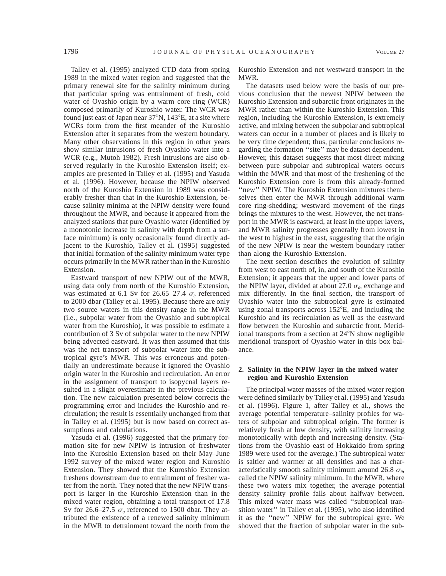Talley et al. (1995) analyzed CTD data from spring 1989 in the mixed water region and suggested that the primary renewal site for the salinity minimum during that particular spring was entrainment of fresh, cold water of Oyashio origin by a warm core ring (WCR) composed primarily of Kuroshio water. The WCR was found just east of Japan near  $37^{\circ}$ N,  $143^{\circ}$ E, at a site where WCRs form from the first meander of the Kuroshio Extension after it separates from the western boundary. Many other observations in this region in other years show similar intrusions of fresh Oyashio water into a WCR (e.g., Mutoh 1982). Fresh intrusions are also observed regularly in the Kuroshio Extension itself; examples are presented in Talley et al. (1995) and Yasuda et al. (1996). However, because the NPIW observed north of the Kuroshio Extension in 1989 was considerably fresher than that in the Kuroshio Extension, because salinity minima at the NPIW density were found throughout the MWR, and because it appeared from the analyzed stations that pure Oyashio water (identified by a monotonic increase in salinity with depth from a surface minimum) is only occasionally found directly adjacent to the Kuroshio, Talley et al. (1995) suggested that initial formation of the salinity minimum water type occurs primarily in the MWR rather than in the Kuroshio Extension.

Eastward transport of new NPIW out of the MWR, using data only from north of the Kuroshio Extension, was estimated at 6.1 Sv for 26.65–27.4  $\sigma_{\alpha}$  referenced to 2000 dbar (Talley et al. 1995). Because there are only two source waters in this density range in the MWR (i.e., subpolar water from the Oyashio and subtropical water from the Kuroshio), it was possible to estimate a contribution of 3 Sv of subpolar water to the new NPIW being advected eastward. It was then assumed that this was the net transport of subpolar water into the subtropical gyre's MWR. This was erroneous and potentially an underestimate because it ignored the Oyashio origin water in the Kuroshio and recirculation. An error in the assignment of transport to isopycnal layers resulted in a slight overestimate in the previous calculation. The new calculation presented below corrects the programming error and includes the Kuroshio and recirculation; the result is essentially unchanged from that in Talley et al. (1995) but is now based on correct assumptions and calculations.

Yasuda et al. (1996) suggested that the primary formation site for new NPIW is intrusion of freshwater into the Kuroshio Extension based on their May–June 1992 survey of the mixed water region and Kuroshio Extension. They showed that the Kuroshio Extension freshens downstream due to entrainment of fresher water from the north. They noted that the new NPIW transport is larger in the Kuroshio Extension than in the mixed water region, obtaining a total transport of 17.8 Sv for 26.6–27.5  $\sigma_{\theta}$  referenced to 1500 dbar. They attributed the existence of a renewed salinity minimum in the MWR to detrainment toward the north from the Kuroshio Extension and net westward transport in the MWR.

The datasets used below were the basis of our previous conclusion that the newest NPIW between the Kuroshio Extension and subarctic front originates in the MWR rather than within the Kuroshio Extension. This region, including the Kuroshio Extension, is extremely active, and mixing between the subpolar and subtropical waters can occur in a number of places and is likely to be very time dependent; thus, particular conclusions regarding the formation ''site'' may be dataset dependent. However, this dataset suggests that most direct mixing between pure subpolar and subtropical waters occurs within the MWR and that most of the freshening of the Kuroshio Extension core is from this already-formed "new" NPIW. The Kuroshio Extension mixtures themselves then enter the MWR through additional warm core ring-shedding; westward movement of the rings brings the mixtures to the west. However, the net transport in the MWR is eastward, at least in the upper layers, and MWR salinity progresses generally from lowest in the west to highest in the east, suggesting that the origin of the new NPIW is near the western boundary rather than along the Kuroshio Extension.

The next section describes the evolution of salinity from west to east north of, in, and south of the Kuroshio Extension; it appears that the upper and lower parts of the NPIW layer, divided at about 27.0  $\sigma_{\theta}$ , exchange and mix differently. In the final section, the transport of Oyashio water into the subtropical gyre is estimated using zonal transports across  $152^{\circ}E$ , and including the Kuroshio and its recirculation as well as the eastward flow between the Kuroshio and subarctic front. Meridional transports from a section at  $24^{\circ}$ N show negligible meridional transport of Oyashio water in this box balance.

### **2. Salinity in the NPIW layer in the mixed water region and Kuroshio Extension**

The principal water masses of the mixed water region were defined similarly by Talley et al. (1995) and Yasuda et al. (1996). Figure 1, after Talley et al., shows the average potential temperature–salinity profiles for waters of subpolar and subtropical origin. The former is relatively fresh at low density, with salinity increasing monotonically with depth and increasing density. (Stations from the Oyashio east of Hokkaido from spring 1989 were used for the average.) The subtropical water is saltier and warmer at all densities and has a characteristically smooth salinity minimum around 26.8  $\sigma_{\alpha}$ , called the NPIW salinity minimum. In the MWR, where these two waters mix together, the average potential density–salinity profile falls about halfway between. This mixed water mass was called ''subtropical transition water'' in Talley et al. (1995), who also identified it as the ''new'' NPIW for the subtropical gyre. We showed that the fraction of subpolar water in the sub-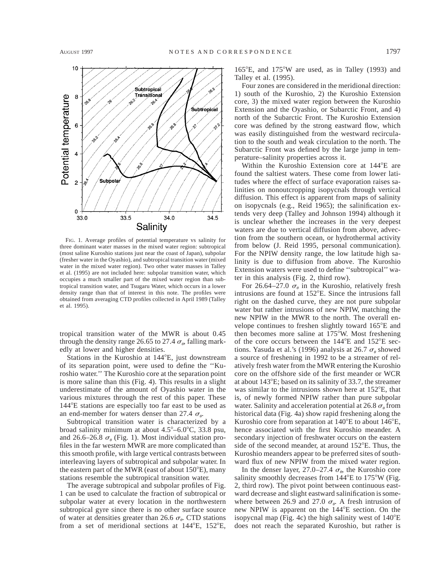

FIG. 1. Average profiles of potential temperature vs salinity for three dominant water masses in the mixed water region: subtropical (most saline Kuroshio stations just near the coast of Japan), subpolar (fresher water in the Oyashio), and subtropical transition water (mixed water in the mixed water region). Two other water masses in Talley et al. (1995) are not included here: subpolar transition water, which occupies a much smaller part of the mixed water region than subtropical transition water, and Tsugaru Water, which occurs in a lower density range than that of interest in this note. The profiles were obtained from averaging CTD profiles collected in April 1989 (Talley et al. 1995).

tropical transition water of the MWR is about 0.45 through the density range 26.65 to 27.4  $\sigma_{\theta}$ , falling markedly at lower and higher densities.

Stations in the Kuroshio at 144°E, just downstream of its separation point, were used to define the ''Kuroshio water.'' The Kuroshio core at the separation point is more saline than this (Fig. 4). This results in a slight underestimate of the amount of Oyashio water in the various mixtures through the rest of this paper. These 144°E stations are especially too far east to be used as an end-member for waters denser than 27.4  $\sigma_{\theta}$ .

Subtropical transition water is characterized by a broad salinity minimum at about  $4.5^{\circ}$ –6.0°C, 33.8 psu, and 26.6–26.8  $\sigma_{\theta}$  (Fig. 1). Most individual station profiles in the far western MWR are more complicated than this smooth profile, with large vertical contrasts between interleaving layers of subtropical and subpolar water. In the eastern part of the MWR (east of about  $150^{\circ}E$ ), many stations resemble the subtropical transition water.

The average subtropical and subpolar profiles of Fig. 1 can be used to calculate the fraction of subtropical or subpolar water at every location in the northwestern subtropical gyre since there is no other surface source of water at densities greater than 26.6  $\sigma_{\theta}$ . CTD stations from a set of meridional sections at  $144^{\circ}E$ ,  $152^{\circ}E$ ,

 $165^{\circ}$ E, and  $175^{\circ}$ W are used, as in Talley (1993) and Talley et al. (1995).

Four zones are considered in the meridional direction: 1) south of the Kuroshio, 2) the Kuroshio Extension core, 3) the mixed water region between the Kuroshio Extension and the Oyashio, or Subarctic Front, and 4) north of the Subarctic Front. The Kuroshio Extension core was defined by the strong eastward flow, which was easily distinguished from the westward recirculation to the south and weak circulation to the north. The Subarctic Front was defined by the large jump in temperature–salinity properties across it.

Within the Kuroshio Extension core at 144<sup>°</sup>E are found the saltiest waters. These come from lower latitudes where the effect of surface evaporation raises salinities on nonoutcropping isopycnals through vertical diffusion. This effect is apparent from maps of salinity on isopycnals (e.g., Reid 1965); the salinification extends very deep (Talley and Johnson 1994) although it is unclear whether the increases in the very deepest waters are due to vertical diffusion from above, advection from the southern ocean, or hydrothermal activity from below (J. Reid 1995, personal communication). For the NPIW density range, the low latitude high salinity is due to diffusion from above. The Kuroshio Extension waters were used to define ''subtropical'' water in this analysis (Fig. 2, third row).

For 26.64–27.0  $\sigma_{\theta}$  in the Kuroshio, relatively fresh intrusions are found at  $152^{\circ}E$ . Since the intrusions fall right on the dashed curve, they are not pure subpolar water but rather intrusions of new NPIW, matching the new NPIW in the MWR to the north. The overall envelope continues to freshen slightly toward  $165^{\circ}E$  and then becomes more saline at  $175^{\circ}$ W. Most freshening of the core occurs between the  $144^{\circ}E$  and  $152^{\circ}E$  sections. Yasuda et al.'s (1996) analysis at 26.7  $\sigma_{\theta}$  showed a source of freshening in 1992 to be a streamer of relatively fresh water from the MWR entering the Kuroshio core on the offshore side of the first meander or WCR at about  $143^{\circ}E$ ; based on its salinity of 33.7, the streamer was similar to the intrusions shown here at  $152^{\circ}E$ , that is, of newly formed NPIW rather than pure subpolar water. Salinity and acceleration potential at 26.8  $\sigma_{\theta}$  from historical data (Fig. 4a) show rapid freshening along the Kuroshio core from separation at  $140^{\circ}$ E to about  $146^{\circ}$ E, hence associated with the first Kuroshio meander. A secondary injection of freshwater occurs on the eastern side of the second meander, at around  $152^{\circ}E$ . Thus, the Kuroshio meanders appear to be preferred sites of southward flux of new NPIW from the mixed water region.

In the denser layer, 27.0–27.4  $\sigma_{\theta}$ , the Kuroshio core salinity smoothly decreases from  $144^{\circ}E$  to  $175^{\circ}W$  (Fig. 2, third row). The pivot point between continuous eastward decrease and slight eastward salinification is somewhere between 26.9 and 27.0  $\sigma_{\theta}$ . A fresh intrusion of new NPIW is apparent on the 144°E section. On the isopycnal map (Fig. 4c) the high salinity west of  $140^{\circ}E$ does not reach the separated Kuroshio, but rather is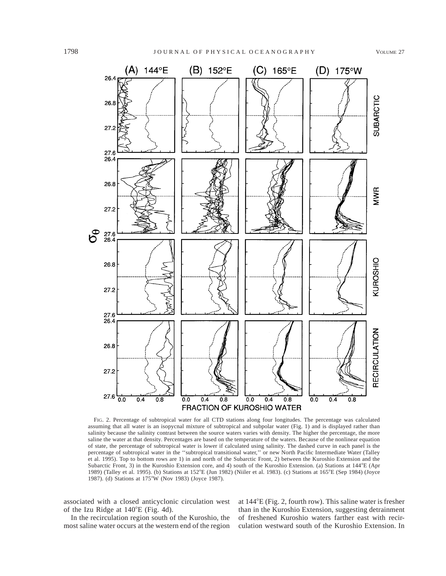

FIG. 2. Percentage of subtropical water for all CTD stations along four longitudes. The percentage was calculated assuming that all water is an isopycnal mixture of subtropical and subpolar water (Fig. 1) and is displayed rather than salinity because the salinity contrast between the source waters varies with density. The higher the percentage, the more saline the water at that density. Percentages are based on the temperature of the waters. Because of the nonlinear equation of state, the percentage of subtropical water is lower if calculated using salinity. The dashed curve in each panel is the percentage of subtropical water in the ''subtropical transitional water,'' or new North Pacific Intermediate Water (Talley et al. 1995). Top to bottom rows are 1) in and north of the Subarctic Front, 2) between the Kuroshio Extension and the Subarctic Front, 3) in the Kuroshio Extension core, and 4) south of the Kuroshio Extension. (a) Stations at  $144^{\circ}E$  (Apr 1989) (Talley et al. 1995). (b) Stations at 152°E (Jun 1982) (Niiler et al. 1983). (c) Stations at 165°E (Sep 1984) (Joyce 1987). (d) Stations at 175°W (Nov 1983) (Joyce 1987).

associated with a closed anticyclonic circulation west of the Izu Ridge at  $140^{\circ}E$  (Fig. 4d).

In the recirculation region south of the Kuroshio, the most saline water occurs at the western end of the region at  $144^{\circ}E$  (Fig. 2, fourth row). This saline water is fresher than in the Kuroshio Extension, suggesting detrainment of freshened Kuroshio waters farther east with recirculation westward south of the Kuroshio Extension. In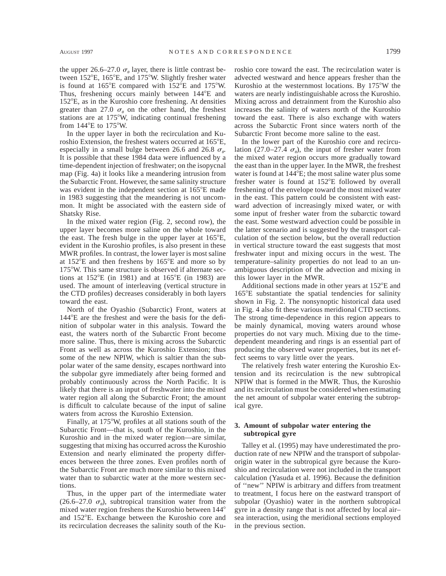the upper 26.6–27.0  $\sigma_{\theta}$  layer, there is little contrast between  $152^{\circ}E$ ,  $165^{\circ}E$ , and  $175^{\circ}W$ . Slightly fresher water is found at  $165^{\circ}E$  compared with  $152^{\circ}E$  and  $175^{\circ}W$ . Thus, freshening occurs mainly between 144<sup>o</sup>E and  $152^{\circ}E$ , as in the Kuroshio core freshening. At densities greater than 27.0  $\sigma_a$  on the other hand, the freshest stations are at  $175^{\circ}$ W, indicating continual freshening from  $144^{\circ}E$  to  $175^{\circ}W$ .

In the upper layer in both the recirculation and Kuroshio Extension, the freshest waters occurred at 165<sup>o</sup>E. especially in a small bulge between 26.6 and 26.8  $\sigma_{\alpha}$ . It is possible that these 1984 data were influenced by a time-dependent injection of freshwater; on the isopycnal map (Fig. 4a) it looks like a meandering intrusion from the Subarctic Front. However, the same salinity structure was evident in the independent section at  $165^{\circ}E$  made in 1983 suggesting that the meandering is not uncommon. It might be associated with the eastern side of Shatsky Rise.

In the mixed water region (Fig. 2, second row), the upper layer becomes more saline on the whole toward the east. The fresh bulge in the upper layer at  $165^{\circ}E$ , evident in the Kuroshio profiles, is also present in these MWR profiles. In contrast, the lower layer is most saline at  $152^{\circ}E$  and then freshens by  $165^{\circ}E$  and more so by 175°W. This same structure is observed if alternate sections at  $152^{\circ}E$  (in 1981) and at  $165^{\circ}E$  (in 1983) are used. The amount of interleaving (vertical structure in the CTD profiles) decreases considerably in both layers toward the east.

North of the Oyashio (Subarctic) Front, waters at 144<sup>°</sup>E are the freshest and were the basis for the definition of subpolar water in this analysis. Toward the east, the waters north of the Subarctic Front become more saline. Thus, there is mixing across the Subarctic Front as well as across the Kuroshio Extension; thus some of the new NPIW, which is saltier than the subpolar water of the same density, escapes northward into the subpolar gyre immediately after being formed and probably continuously across the North Pacific. It is likely that there is an input of freshwater into the mixed water region all along the Subarctic Front; the amount is difficult to calculate because of the input of saline waters from across the Kuroshio Extension.

Finally, at  $175^{\circ}$ W, profiles at all stations south of the Subarctic Front—that is, south of the Kuroshio, in the Kuroshio and in the mixed water region—are similar, suggesting that mixing has occurred across the Kuroshio Extension and nearly eliminated the property differences between the three zones. Even profiles north of the Subarctic Front are much more similar to this mixed water than to subarctic water at the more western sections.

Thus, in the upper part of the intermediate water (26.6–27.0  $\sigma_{\theta}$ ), subtropical transition water from the mixed water region freshens the Kuroshio between  $144^{\circ}$ and 152°E. Exchange between the Kuroshio core and its recirculation decreases the salinity south of the Kuroshio core toward the east. The recirculation water is advected westward and hence appears fresher than the Kuroshio at the westernmost locations. By  $175^{\circ}$ W the waters are nearly indistinguishable across the Kuroshio. Mixing across and detrainment from the Kuroshio also increases the salinity of waters north of the Kuroshio toward the east. There is also exchange with waters across the Subarctic Front since waters north of the Subarctic Front become more saline to the east.

In the lower part of the Kuroshio core and recirculation (27.0–27.4  $\sigma_{\theta}$ ), the input of fresher water from the mixed water region occurs more gradually toward the east than in the upper layer. In the MWR, the freshest water is found at  $144^{\circ}E$ ; the most saline water plus some fresher water is found at  $152^{\circ}E$  followed by overall freshening of the envelope toward the most mixed water in the east. This pattern could be consistent with eastward advection of increasingly mixed water, or with some input of fresher water from the subarctic toward the east. Some westward advection could be possible in the latter scenario and is suggested by the transport calculation of the section below, but the overall reduction in vertical structure toward the east suggests that most freshwater input and mixing occurs in the west. The temperature–salinity properties do not lead to an unambiguous description of the advection and mixing in this lower layer in the MWR.

Additional sections made in other years at  $152^{\circ}E$  and 165<sup>°</sup>E substantiate the spatial tendencies for salinity shown in Fig. 2. The nonsynoptic historical data used in Fig. 4 also fit these various meridional CTD sections. The strong time-dependence in this region appears to be mainly dynamical, moving waters around whose properties do not vary much. Mixing due to the timedependent meandering and rings is an essential part of producing the observed water properties, but its net effect seems to vary little over the years.

The relatively fresh water entering the Kuroshio Extension and its recirculation is the new subtropical NPIW that is formed in the MWR. Thus, the Kuroshio and its recirculation must be considered when estimating the net amount of subpolar water entering the subtropical gyre.

## **3. Amount of subpolar water entering the subtropical gyre**

Talley et al. (1995) may have underestimated the production rate of new NPIW and the transport of subpolarorigin water in the subtropical gyre because the Kuroshio and recirculation were not included in the transport calculation (Yasuda et al. 1996). Because the definition of ''new'' NPIW is arbitrary and differs from treatment to treatment, I focus here on the eastward transport of subpolar (Oyashio) water in the northern subtropical gyre in a density range that is not affected by local air– sea interaction, using the meridional sections employed in the previous section.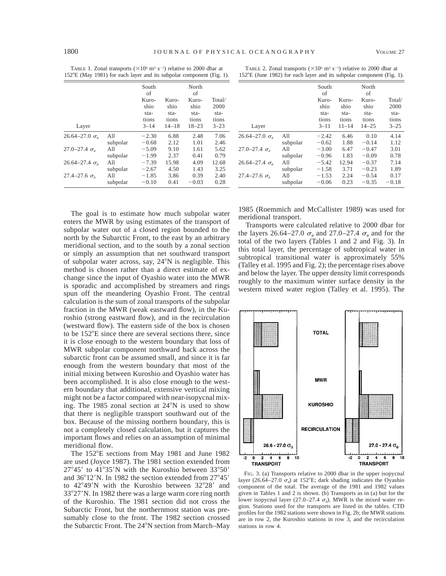| 152°E (May 1981) for each layer and its subpolar component (Fig. 1). |          |             |           |             |          |  |
|----------------------------------------------------------------------|----------|-------------|-----------|-------------|----------|--|
|                                                                      |          | South<br>of |           | North<br>of |          |  |
|                                                                      |          | Kuro-       | Kuro-     | Kuro-       | Total/   |  |
|                                                                      |          | shio        | shio      | shio        | 2000     |  |
|                                                                      |          | sta-        | sta-      | sta-        | sta-     |  |
|                                                                      |          | tions       | tions     | tions       | tions    |  |
| Layer                                                                |          | $3 - 14$    | $14 - 18$ | 18–23       | $3 - 23$ |  |
| $26.64 - 27.0 \sigma_a$                                              | All      | $-2.30$     | 6.88      | 2.48        | 7.06     |  |
|                                                                      | subpolar | $-0.68$     | 2.12      | 1.01        | 2.46     |  |
| 27.0–27.4 $\sigma_{\rm e}$                                           | All      | $-5.09$     | 9.10      | 1.61        | 5.62     |  |
|                                                                      | subpolar | $-1.99$     | 2.37      | 0.41        | 0.79     |  |
| 26.64–27.4 $\sigma_{\rm e}$                                          | All      | $-7.39$     | 15.98     | 4.09        | 12.68    |  |
|                                                                      | subpolar | $-2.67$     | 4.50      | 1.43        | 3.25     |  |
| 27.4–27.6 $\sigma_{\rm g}$                                           | All      | $-1.85$     | 3.86      | 0.39        | 2.40     |  |
|                                                                      | subpolar | $-0.10$     | 0.41      | $-0.03$     | 0.28     |  |

TABLE 1. Zonal transports  $(\times 10^6 \text{ m}^3 \text{ s}^{-1})$  relative to 2000 dbar at

|                                                                       | TABLE 2. Zonal transports ( $\times$ 10 <sup>6</sup> m <sup>3</sup> s <sup>-1</sup> ) relative to 2000 dbar at |  |  |
|-----------------------------------------------------------------------|----------------------------------------------------------------------------------------------------------------|--|--|
| 152°E (June 1982) for each layer and its subpolar component (Fig. 1). |                                                                                                                |  |  |

|                             |          | South<br>of   |               | North<br>of   |                |
|-----------------------------|----------|---------------|---------------|---------------|----------------|
|                             |          | Kuro-<br>shio | Kuro-<br>shio | Kuro-<br>shio | Total/<br>2000 |
|                             |          | sta-<br>tions | sta-<br>tions | sta-<br>tions | sta-<br>tions  |
| Layer                       |          | $3 - 11$      | $11 - 14$     | $14 - 25$     | $3 - 25$       |
| $26.64 - 27.0 \sigma_a$     | A11      | $-2.42$       | 6.46          | 0.10          | 4.14           |
|                             | subpolar | $-0.62$       | 1.88          | $-0.14$       | 1.12           |
| 27.0–27.4 $\sigma_{\theta}$ | All      | $-3.00$       | 6.47          | $-0.47$       | 3.01           |
|                             | subpolar | $-0.96$       | 1.83          | $-0.09$       | 0.78           |
| $26.64 - 27.4 \sigma_a$     | A11      | $-5.42$       | 12.94         | $-0.37$       | 7.14           |
|                             | subpolar | $-1.58$       | 3.71          | $-0.23$       | 1.89           |
| 27.4–27.6 $\sigma_{\alpha}$ | All      | $-1.53$       | 2.24          | $-0.54$       | 0.17           |
|                             | subpolar | $-0.06$       | 0.23          | $-0.35$       | $-0.18$        |

The goal is to estimate how much subpolar water enters the MWR by using estimates of the transport of subpolar water out of a closed region bounded to the north by the Subarctic Front, to the east by an arbitrary meridional section, and to the south by a zonal section or simply an assumption that net southward transport of subpolar water across, say, 24°N is negligible. This method is chosen rather than a direct estimate of exchange since the input of Oyashio water into the MWR is sporadic and accomplished by streamers and rings spun off the meandering Oyashio Front. The central calculation is the sum of zonal transports of the subpolar fraction in the MWR (weak eastward flow), in the Kuroshio (strong eastward flow), and in the recirculation (westward flow). The eastern side of the box is chosen to be  $152^{\circ}E$  since there are several sections there, since it is close enough to the western boundary that loss of MWR subpolar component northward back across the subarctic front can be assumed small, and since it is far enough from the western boundary that most of the initial mixing between Kuroshio and Oyashio water has been accomplished. It is also close enough to the western boundary that additional, extensive vertical mixing might not be a factor compared with near-isopycnal mixing. The 1985 zonal section at  $24^{\circ}$ N is used to show that there is negligible transport southward out of the box. Because of the missing northern boundary, this is not a completely closed calculation, but it captures the important flows and relies on an assumption of minimal meridional flow.

The 152°E sections from May 1981 and June 1982 are used (Joyce 1987). The 1981 section extended from  $27^{\circ}45'$  to  $41^{\circ}35'N$  with the Kuroshio between  $33^{\circ}50'$ and  $36^{\circ}12'$ N. In 1982 the section extended from  $27^{\circ}45'$ to  $42^{\circ}49'$ N with the Kuroshio between  $32^{\circ}28'$  and  $33^{\circ}27'$ N. In 1982 there was a large warm core ring north of the Kuroshio. The 1981 section did not cross the Subarctic Front, but the northernmost station was presumably close to the front. The 1982 section crossed the Subarctic Front. The 24°N section from March–May

1985 (Roemmich and McCallister 1989) was used for meridional transport.

Transports were calculated relative to 2000 dbar for the layers 26.64–27.0  $\sigma_{\theta}$  and 27.0–27.4  $\sigma_{\theta}$  and for the total of the two layers (Tables 1 and 2 and Fig. 3). In this total layer, the percentage of subtropical water in subtropical transitional water is approximately 55% (Talley et al. 1995 and Fig. 2); the percentage rises above and below the layer. The upper density limit corresponds roughly to the maximum winter surface density in the western mixed water region (Talley et al. 1995). The



FIG. 3. (a) Transports relative to 2000 dbar in the upper isopycnal layer (26.64–27.0  $\sigma_{\theta}$ ) at 152°E; dark shading indicates the Oyashio component of the total. The average of the 1981 and 1982 values given in Tables 1 and 2 is shown. (b) Transports as in (a) but for the lower isopycnal layer (27.0–27.4  $\sigma_{\theta}$ ). MWR is the mixed water region. Stations used for the transports are listed in the tables. CTD profiles for the 1982 stations were shown in Fig. 2b; the MWR stations are in row 2, the Kuroshio stations in row 3, and the recirculation stations in row 4.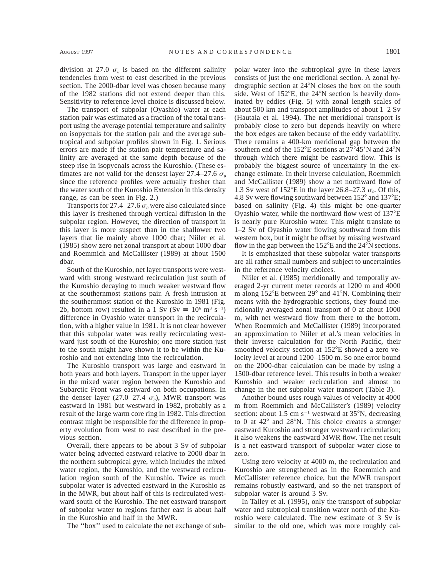division at 27.0  $\sigma_{\theta}$  is based on the different salinity tendencies from west to east described in the previous section. The 2000-dbar level was chosen because many of the 1982 stations did not extend deeper than this. Sensitivity to reference level choice is discussed below.

The transport of subpolar (Oyashio) water at each station pair was estimated as a fraction of the total transport using the average potential temperature and salinity on isopycnals for the station pair and the average subtropical and subpolar profiles shown in Fig. 1. Serious errors are made if the station pair temperature and salinity are averaged at the same depth because of the steep rise in isopycnals across the Kuroshio. (These estimates are not valid for the densest layer 27.4–27.6  $\sigma_{\theta}$ since the reference profiles were actually fresher than the water south of the Kuroshio Extension in this density range, as can be seen in Fig. 2.)

Transports for 27.4–27.6  $\sigma_{\theta}$  were also calculated since this layer is freshened through vertical diffusion in the subpolar region. However, the direction of transport in this layer is more suspect than in the shallower two layers that lie mainly above 1000 dbar; Niiler et al. (1985) show zero net zonal transport at about 1000 dbar and Roemmich and McCallister (1989) at about 1500 dbar.

South of the Kuroshio, net layer transports were westward with strong westward recirculation just south of the Kuroshio decaying to much weaker westward flow at the southernmost stations pair. A fresh intrusion at the southernmost station of the Kuroshio in 1981 (Fig. 2b, bottom row) resulted in a 1 Sv (Sv  $\equiv 10^6$  m<sup>3</sup> s<sup>-1</sup>) difference in Oyashio water transport in the recirculation, with a higher value in 1981. It is not clear however that this subpolar water was really recirculating westward just south of the Kuroshio; one more station just to the south might have shown it to be within the Kuroshio and not extending into the recirculation.

The Kuroshio transport was large and eastward in both years and both layers. Transport in the upper layer in the mixed water region between the Kuroshio and Subarctic Front was eastward on both occupations. In the denser layer (27.0–27.4  $\sigma_{\theta}$ ), MWR transport was eastward in 1981 but westward in 1982, probably as a result of the large warm core ring in 1982. This direction contrast might be responsible for the difference in property evolution from west to east described in the previous section.

Overall, there appears to be about 3 Sv of subpolar water being advected eastward relative to 2000 dbar in the northern subtropical gyre, which includes the mixed water region, the Kuroshio, and the westward recirculation region south of the Kuroshio. Twice as much subpolar water is advected eastward in the Kuroshio as in the MWR, but about half of this is recirculated westward south of the Kuroshio. The net eastward transport of subpolar water to regions farther east is about half in the Kuroshio and half in the MWR.

The ''box'' used to calculate the net exchange of sub-

polar water into the subtropical gyre in these layers consists of just the one meridional section. A zonal hydrographic section at  $24^{\circ}$ N closes the box on the south side. West of  $152^{\circ}E$ , the  $24^{\circ}N$  section is heavily dominated by eddies (Fig. 5) with zonal length scales of about 500 km and transport amplitudes of about 1–2 Sv (Hautala et al. 1994). The net meridional transport is probably close to zero but depends heavily on where the box edges are taken because of the eddy variability. There remains a 400-km meridional gap between the southern end of the  $152^{\circ}E$  sections at  $27^{\circ}45'N$  and  $24^{\circ}N$ through which there might be eastward flow. This is probably the biggest source of uncertainty in the exchange estimate. In their inverse calculation, Roemmich and McCallister (1989) show a net northward flow of 1.3 Sv west of 152°E in the layer 26.8–27.3  $\sigma_{\theta}$ . Of this, 4.8 Sv were flowing southward between  $152^{\circ}$  and  $137^{\circ}E$ ; based on salinity (Fig. 4) this might be one-quarter Oyashio water, while the northward flow west of 137°E is nearly pure Kuroshio water. This might translate to 1–2 Sv of Oyashio water flowing southward from this western box, but it might be offset by missing westward flow in the gap between the  $152^{\circ}E$  and the  $24^{\circ}N$  sections.

It is emphasized that these subpolar water transports are all rather small numbers and subject to uncertainties in the reference velocity choices.

Niiler et al. (1985) meridionally and temporally averaged 2-yr current meter records at 1200 m and 4000 m along  $152^{\circ}E$  between  $29^{\circ}$  and  $41^{\circ}N$ . Combining their means with the hydrographic sections, they found meridionally averaged zonal transport of 0 at about 1000 m, with net westward flow from there to the bottom. When Roemmich and McCallister (1989) incorporated an approximation to Niiler et al.'s mean velocities in their inverse calculation for the North Pacific, their smoothed velocity section at 152°E showed a zero velocity level at around 1200–1500 m. So one error bound on the 2000-dbar calculation can be made by using a 1500-dbar reference level. This results in both a weaker Kuroshio and weaker recirculation and almost no change in the net subpolar water transport (Table 3).

Another bound uses rough values of velocity at 4000 m from Roemmich and McCallister's (1989) velocity section: about 1.5 cm  $s^{-1}$  westward at 35°N, decreasing to 0 at  $42^{\circ}$  and  $28^{\circ}$ N. This choice creates a stronger eastward Kuroshio and stronger westward recirculation; it also weakens the eastward MWR flow. The net result is a net eastward transport of subpolar water close to zero.

Using zero velocity at 4000 m, the recirculation and Kuroshio are strengthened as in the Roemmich and McCallister reference choice, but the MWR transport remains robustly eastward, and so the net transport of subpolar water is around 3 Sv.

In Talley et al. (1995), only the transport of subpolar water and subtropical transition water north of the Kuroshio were calculated. The new estimate of 3 Sv is similar to the old one, which was more roughly cal-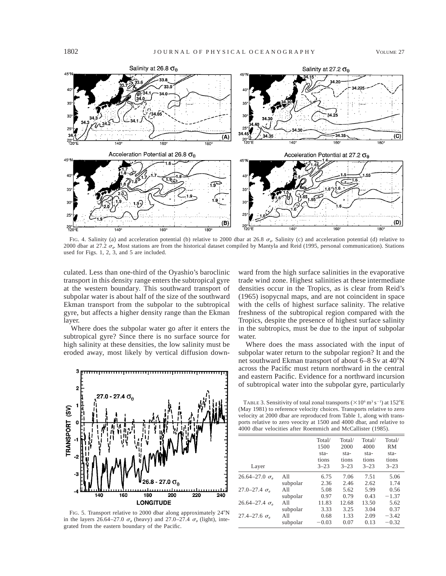

FIG. 4. Salinity (a) and acceleration potential (b) relative to 2000 dbar at 26.8  $\sigma_{\varrho}$ . Salinity (c) and acceleration potential (d) relative to 2000 dbar at 27.2  $\sigma_{\varrho}$ . Most stations are from the historical dataset compiled by Mantyla and Reid (1995, personal communication). Stations used for Figs. 1, 2, 3, and 5 are included.

culated. Less than one-third of the Oyashio's baroclinic transport in this density range enters the subtropical gyre at the western boundary. This southward transport of subpolar water is about half of the size of the southward Ekman transport from the subpolar to the subtropical gyre, but affects a higher density range than the Ekman layer.

Where does the subpolar water go after it enters the subtropical gyre? Since there is no surface source for high salinity at these densities, the low salinity must be eroded away, most likely by vertical diffusion down-



FIG. 5. Transport relative to 2000 dbar along approximately 24°N in the layers 26.64–27.0  $\sigma_{\theta}$  (heavy) and 27.0–27.4  $\sigma_{\theta}$  (light), integrated from the eastern boundary of the Pacific.

ward from the high surface salinities in the evaporative trade wind zone. Highest salinities at these intermediate densities occur in the Tropics, as is clear from Reid's (1965) isopycnal maps, and are not coincident in space with the cells of highest surface salinity. The relative freshness of the subtropical region compared with the Tropics, despite the presence of highest surface salinity in the subtropics, must be due to the input of subpolar water.

Where does the mass associated with the input of subpolar water return to the subpolar region? It and the net southward Ekman transport of about 6–8 Sv at 40°N across the Pacific must return northward in the central and eastern Pacific. Evidence for a northward incursion of subtropical water into the subpolar gyre, particularly

TABLE 3. Sensitivity of total zonal transports ( $\times 10^6$  m<sup>3</sup> s<sup>-1</sup>) at 152<sup>o</sup>E (May 1981) to reference velocity choices. Transports relative to zero velocity at 2000 dbar are reproduced from Table 1, along with transports relative to zero veocity at 1500 and 4000 dbar, and relative to 4000 dbar velocities after Roemmich and McCallister (1985).

| Layer                            |          | Total/<br>1500<br>sta-<br>tions<br>$3 - 23$ | Total/<br>2000<br>sta-<br>tions<br>$3 - 23$ | Total/<br>4000<br>sta-<br>tions<br>$3 - 23$ | Total/<br>RM<br>sta-<br>tions<br>$3 - 23$ |
|----------------------------------|----------|---------------------------------------------|---------------------------------------------|---------------------------------------------|-------------------------------------------|
| $26.64 - 27.0 \sigma_a$          | A11      | 6.75                                        | 7.06                                        | 7.51                                        | 5.06                                      |
|                                  | subpolar | 2.36                                        | 2.46                                        | 2.62                                        | 1.74                                      |
| 27.0–27.4 $\sigma_{\rm e}$       | All      | 5.08                                        | 5.62                                        | 5.99                                        | 0.56                                      |
|                                  | subpolar | 0.97                                        | 0.79                                        | 0.43                                        | $-1.37$                                   |
| 26.64–27.4 $\sigma$ <sub>a</sub> | All      | 11.83                                       | 12.68                                       | 13.50                                       | 5.62                                      |
|                                  | subpolar | 3.33                                        | 3.25                                        | 3.04                                        | 0.37                                      |
| 27.4–27.6 $\sigma_{\rm g}$       | A11      | 0.68                                        | 1.33                                        | 2.09                                        | $-3.42$                                   |
|                                  | subpolar | $-0.03$                                     | 0.07                                        | 0.13                                        | $-0.32$                                   |